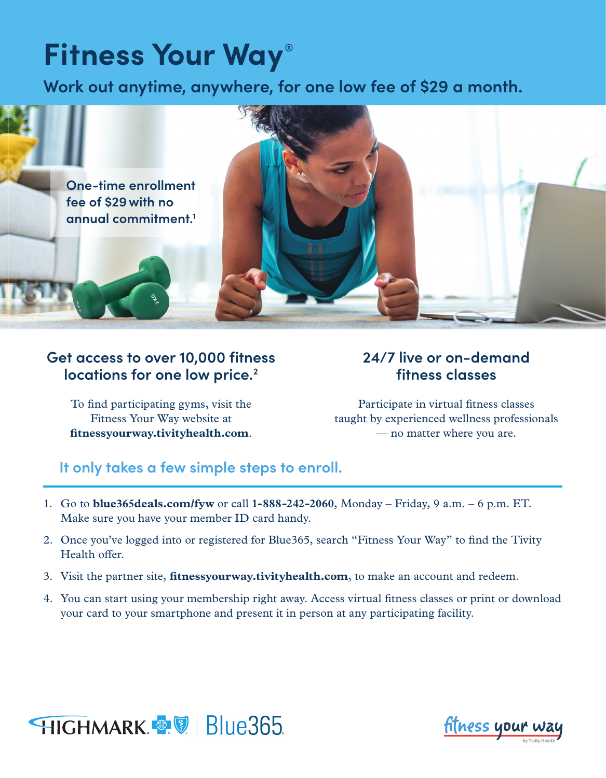## **Fitness Your Way®**

**Work out anytime, anywhere, for one low fee of \$29 a month.**



## **Get access to over 10,000 fitness locations for one low price.2**

To find participating gyms, visit the Fitness Your Way website at **fitnessyourway.tivityhealth.com**.

## **24/7 live or on-demand fitness classes**

Participate in virtual fitness classes taught by experienced wellness professionals — no matter where you are.

## **It only takes a few simple steps to enroll.**

- 1. Go to **blue365deals.com/fyw** or call **1-888-242-2060**, Monday Friday, 9 a.m. 6 p.m. ET. Make sure you have your member ID card handy.
- 2. Once you've logged into or registered for Blue365, search "Fitness Your Way" to find the Tivity Health offer.
- 3. Visit the partner site, **fitnessyourway.tivityhealth.com**, to make an account and redeem.
- 4. You can start using your membership right away. Access virtual fitness classes or print or download your card to your smartphone and present it in person at any participating facility.